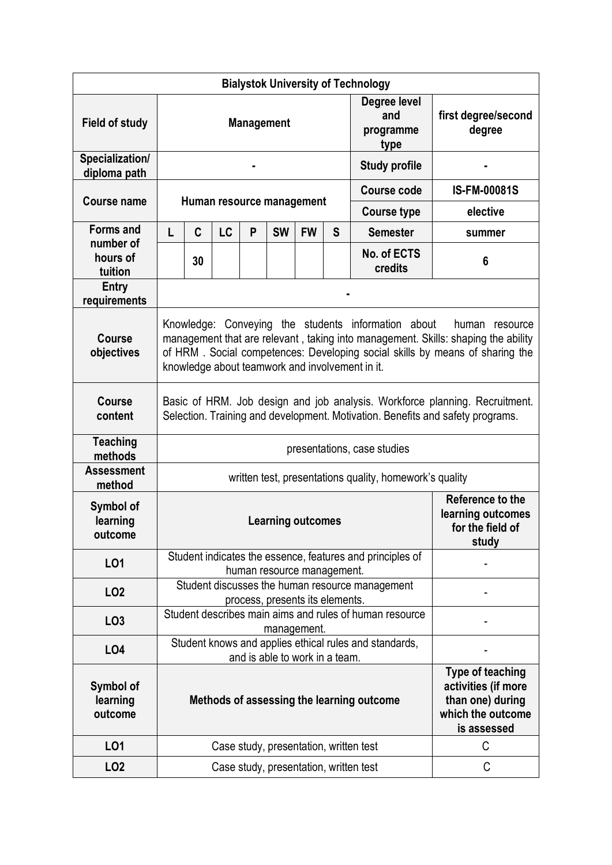|                                  |                                                                                                                                                                                                                                                                                                  |                                                                                                                  |                                                                              |   |           |           |   | <b>Bialystok University of Technology</b>                           |                               |  |  |
|----------------------------------|--------------------------------------------------------------------------------------------------------------------------------------------------------------------------------------------------------------------------------------------------------------------------------------------------|------------------------------------------------------------------------------------------------------------------|------------------------------------------------------------------------------|---|-----------|-----------|---|---------------------------------------------------------------------|-------------------------------|--|--|
| <b>Field of study</b>            | <b>Management</b>                                                                                                                                                                                                                                                                                |                                                                                                                  |                                                                              |   |           |           |   | Degree level<br>and<br>programme<br>type                            | first degree/second<br>degree |  |  |
| Specialization/<br>diploma path  |                                                                                                                                                                                                                                                                                                  |                                                                                                                  |                                                                              |   |           |           |   | <b>Study profile</b>                                                |                               |  |  |
| <b>Course name</b>               | Human resource management                                                                                                                                                                                                                                                                        |                                                                                                                  |                                                                              |   |           |           |   | <b>Course code</b>                                                  | <b>IS-FM-00081S</b>           |  |  |
|                                  |                                                                                                                                                                                                                                                                                                  |                                                                                                                  |                                                                              |   |           |           |   | <b>Course type</b>                                                  | elective                      |  |  |
| <b>Forms and</b><br>number of    | L                                                                                                                                                                                                                                                                                                | C                                                                                                                | LC                                                                           | P | <b>SW</b> | <b>FW</b> | S | <b>Semester</b>                                                     | summer                        |  |  |
| hours of<br>tuition              |                                                                                                                                                                                                                                                                                                  | 30                                                                                                               |                                                                              |   |           |           |   | No. of ECTS<br>credits                                              | 6                             |  |  |
| Entry<br>requirements            |                                                                                                                                                                                                                                                                                                  |                                                                                                                  |                                                                              |   |           |           |   |                                                                     |                               |  |  |
| <b>Course</b><br>objectives      | Knowledge: Conveying the students information about<br>human<br>resource<br>management that are relevant, taking into management. Skills: shaping the ability<br>of HRM. Social competences: Developing social skills by means of sharing the<br>knowledge about teamwork and involvement in it. |                                                                                                                  |                                                                              |   |           |           |   |                                                                     |                               |  |  |
| <b>Course</b><br>content         | Basic of HRM. Job design and job analysis. Workforce planning. Recruitment.<br>Selection. Training and development. Motivation. Benefits and safety programs.                                                                                                                                    |                                                                                                                  |                                                                              |   |           |           |   |                                                                     |                               |  |  |
| <b>Teaching</b><br>methods       | presentations, case studies                                                                                                                                                                                                                                                                      |                                                                                                                  |                                                                              |   |           |           |   |                                                                     |                               |  |  |
| <b>Assessment</b><br>method      | written test, presentations quality, homework's quality                                                                                                                                                                                                                                          |                                                                                                                  |                                                                              |   |           |           |   |                                                                     |                               |  |  |
| Symbol of<br>learning<br>outcome | Reference to the<br>learning outcomes<br><b>Learning outcomes</b><br>for the field of<br>study                                                                                                                                                                                                   |                                                                                                                  |                                                                              |   |           |           |   |                                                                     |                               |  |  |
| L01                              |                                                                                                                                                                                                                                                                                                  |                                                                                                                  |                                                                              |   |           |           |   | Student indicates the essence, features and principles of           |                               |  |  |
| LO <sub>2</sub>                  |                                                                                                                                                                                                                                                                                                  | human resource management.<br>Student discusses the human resource management<br>process, presents its elements. |                                                                              |   |           |           |   |                                                                     |                               |  |  |
| LO <sub>3</sub>                  |                                                                                                                                                                                                                                                                                                  | Student describes main aims and rules of human resource<br>management.                                           |                                                                              |   |           |           |   |                                                                     |                               |  |  |
| L04                              | Student knows and applies ethical rules and standards,<br>and is able to work in a team.                                                                                                                                                                                                         |                                                                                                                  |                                                                              |   |           |           |   |                                                                     |                               |  |  |
| Symbol of<br>learning<br>outcome |                                                                                                                                                                                                                                                                                                  |                                                                                                                  | than one) during<br>Methods of assessing the learning outcome<br>is assessed |   |           |           |   | <b>Type of teaching</b><br>activities (if more<br>which the outcome |                               |  |  |
| LO1                              |                                                                                                                                                                                                                                                                                                  |                                                                                                                  |                                                                              |   |           |           |   | Case study, presentation, written test                              | С                             |  |  |
| LO <sub>2</sub>                  |                                                                                                                                                                                                                                                                                                  |                                                                                                                  |                                                                              |   |           |           |   | Case study, presentation, written test                              | C                             |  |  |